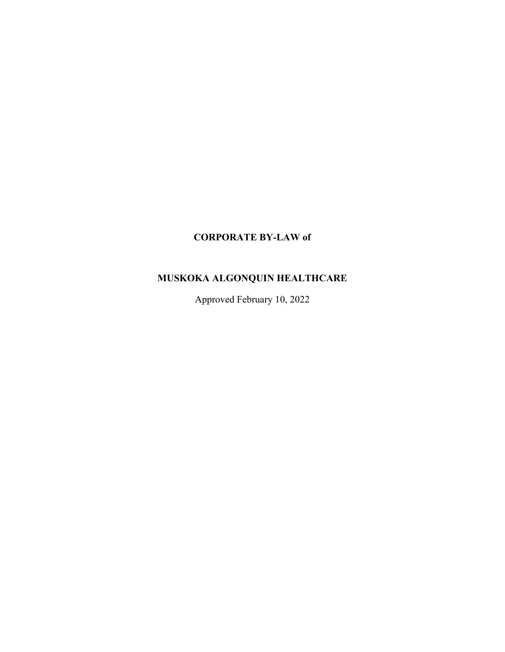# **CORPORATE BY-LAW of**

# **MUSKOKA ALGONQUIN HEALTHCARE**

Approved February 10, 2022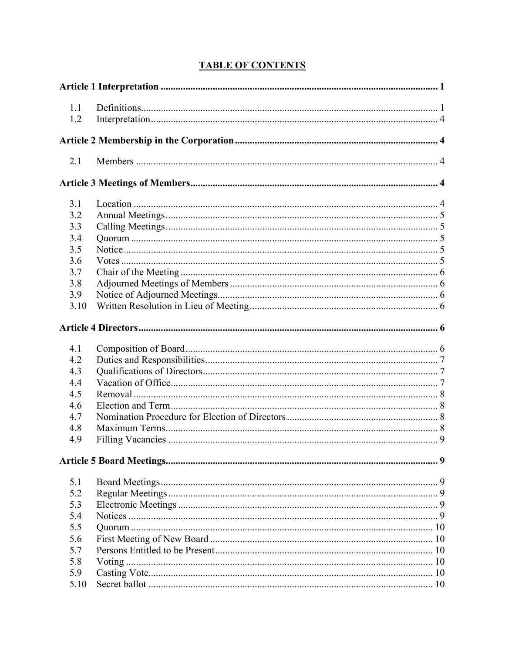| 1.1  |  |
|------|--|
| 1.2  |  |
|      |  |
|      |  |
| 2.1  |  |
|      |  |
| 3.1  |  |
| 3.2  |  |
| 3.3  |  |
| 3.4  |  |
| 3.5  |  |
| 3.6  |  |
| 3.7  |  |
| 3.8  |  |
| 3.9  |  |
| 3.10 |  |
|      |  |
| 4.1  |  |
| 4.2  |  |
| 4.3  |  |
| 4.4  |  |
| 4.5  |  |
| 4.6  |  |
| 4.7  |  |
| 4.8  |  |
| 4.9  |  |
|      |  |
| 5.1  |  |
| 5.2  |  |
| 5.3  |  |
| 5.4  |  |
| 5.5  |  |
| 5.6  |  |
| 5.7  |  |
| 5.8  |  |
| 5.9  |  |
| 5.10 |  |

# **TABLE OF CONTENTS**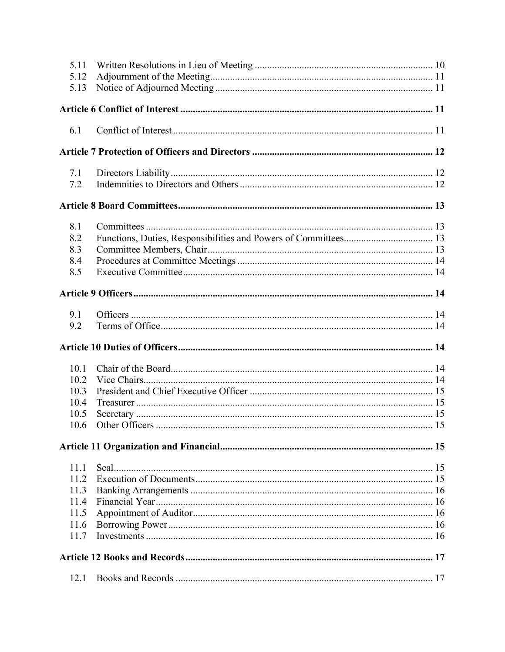| 5.11<br>5.12 |  |
|--------------|--|
| 5.13         |  |
|              |  |
| 6.1          |  |
|              |  |
| 7.1<br>7.2   |  |
|              |  |
| 8.1          |  |
| 8.2          |  |
| 8.3          |  |
| 8.4          |  |
| 8.5          |  |
|              |  |
| 9.1          |  |
| 9.2          |  |
|              |  |
| 10.1         |  |
| 10.2         |  |
| 10.3         |  |
| 10.4         |  |
| 10.5         |  |
| 10.6         |  |
|              |  |
| 11.1         |  |
| 11.2         |  |
| 11.3         |  |
| 11.4         |  |
| 11.5         |  |
| 11.6         |  |
| 11.7         |  |
|              |  |
|              |  |
| 12.1         |  |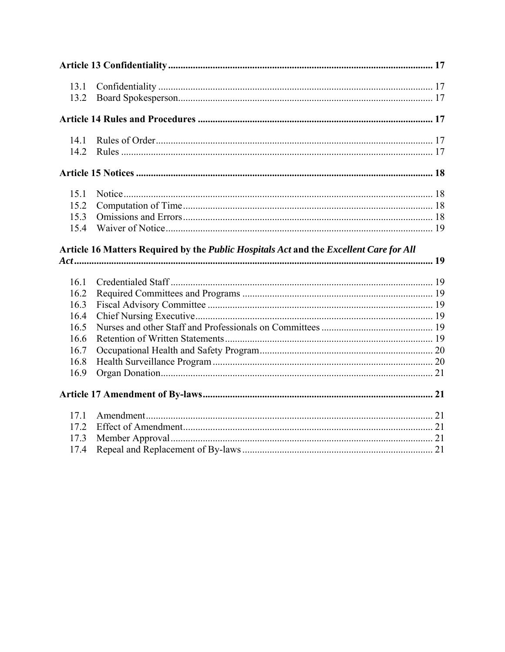| 13.1         |                                                                                        |  |
|--------------|----------------------------------------------------------------------------------------|--|
| 13.2         |                                                                                        |  |
|              |                                                                                        |  |
| 14.1         |                                                                                        |  |
| 14.2         |                                                                                        |  |
|              |                                                                                        |  |
| 15.1         |                                                                                        |  |
| 15.2         |                                                                                        |  |
| 15.3         |                                                                                        |  |
| 15.4         |                                                                                        |  |
|              | Article 16 Matters Required by the Public Hospitals Act and the Excellent Care for All |  |
|              |                                                                                        |  |
|              |                                                                                        |  |
| 16.1         |                                                                                        |  |
| 16.2         |                                                                                        |  |
| 16.3         |                                                                                        |  |
| 16.4         |                                                                                        |  |
| 16.5         |                                                                                        |  |
| 16.6         |                                                                                        |  |
| 16.7         |                                                                                        |  |
| 16.8         |                                                                                        |  |
| 16.9         |                                                                                        |  |
|              |                                                                                        |  |
| 17.1         |                                                                                        |  |
| 17.2         |                                                                                        |  |
| 17.3<br>17.4 |                                                                                        |  |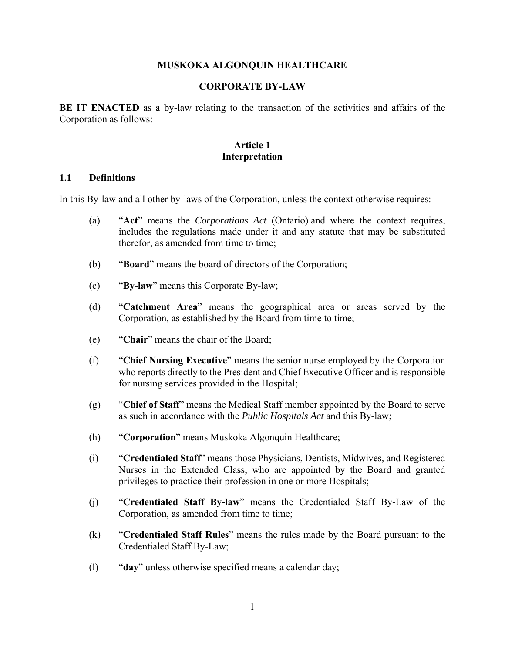#### **MUSKOKA ALGONQUIN HEALTHCARE**

#### **CORPORATE BY-LAW**

**BE IT ENACTED** as a by-law relating to the transaction of the activities and affairs of the Corporation as follows:

#### **Article 1 Interpretation**

#### **1.1 Definitions**

In this By-law and all other by-laws of the Corporation, unless the context otherwise requires:

- (a) "**Act**" means the *Corporations Act* (Ontario) and where the context requires, includes the regulations made under it and any statute that may be substituted therefor, as amended from time to time;
- (b) "**Board**" means the board of directors of the Corporation;
- (c) "**By-law**" means this Corporate By-law;
- (d) "**Catchment Area**" means the geographical area or areas served by the Corporation, as established by the Board from time to time;
- (e) "**Chair**" means the chair of the Board;
- (f) "**Chief Nursing Executive**" means the senior nurse employed by the Corporation who reports directly to the President and Chief Executive Officer and is responsible for nursing services provided in the Hospital;
- (g) "**Chief of Staff**" means the Medical Staff member appointed by the Board to serve as such in accordance with the *Public Hospitals Act* and this By-law;
- (h) "**Corporation**" means Muskoka Algonquin Healthcare;
- (i) "**Credentialed Staff**" means those Physicians, Dentists, Midwives, and Registered Nurses in the Extended Class, who are appointed by the Board and granted privileges to practice their profession in one or more Hospitals;
- (j) "**Credentialed Staff By-law**" means the Credentialed Staff By-Law of the Corporation, as amended from time to time;
- (k) "**Credentialed Staff Rules**" means the rules made by the Board pursuant to the Credentialed Staff By-Law;
- (l) "**day**" unless otherwise specified means a calendar day;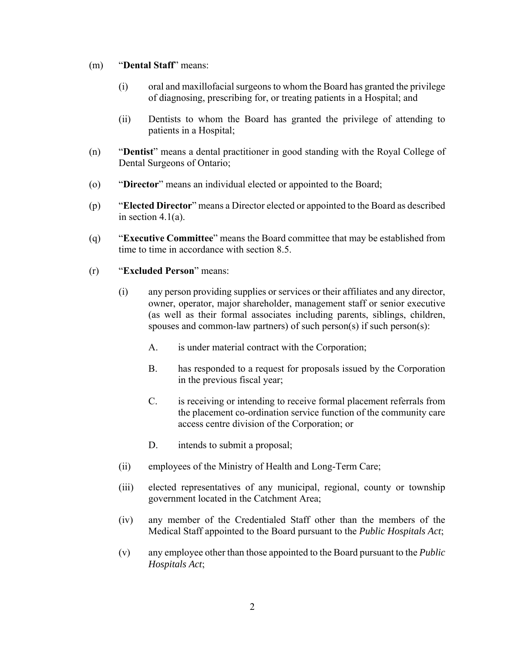#### (m) "**Dental Staff**" means:

- (i) oral and maxillofacial surgeons to whom the Board has granted the privilege of diagnosing, prescribing for, or treating patients in a Hospital; and
- (ii) Dentists to whom the Board has granted the privilege of attending to patients in a Hospital;
- (n) "**Dentist**" means a dental practitioner in good standing with the Royal College of Dental Surgeons of Ontario;
- (o) "**Director**" means an individual elected or appointed to the Board;
- (p) "**Elected Director**" means a Director elected or appointed to the Board as described in section 4.1(a).
- (q) "**Executive Committee**" means the Board committee that may be established from time to time in accordance with section 8.5.
- (r) "**Excluded Person**" means:
	- (i) any person providing supplies or services or their affiliates and any director, owner, operator, major shareholder, management staff or senior executive (as well as their formal associates including parents, siblings, children, spouses and common-law partners) of such person(s) if such person(s):
		- A. is under material contract with the Corporation;
		- B. has responded to a request for proposals issued by the Corporation in the previous fiscal year;
		- C. is receiving or intending to receive formal placement referrals from the placement co-ordination service function of the community care access centre division of the Corporation; or
		- D. intends to submit a proposal;
	- (ii) employees of the Ministry of Health and Long-Term Care;
	- (iii) elected representatives of any municipal, regional, county or township government located in the Catchment Area;
	- (iv) any member of the Credentialed Staff other than the members of the Medical Staff appointed to the Board pursuant to the *Public Hospitals Act*;
	- (v) any employee other than those appointed to the Board pursuant to the *Public Hospitals Act*;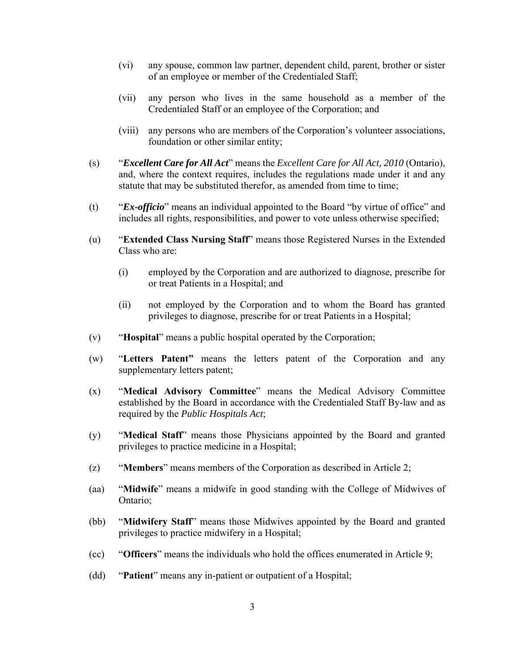- (vi) any spouse, common law partner, dependent child, parent, brother or sister of an employee or member of the Credentialed Staff;
- (vii) any person who lives in the same household as a member of the Credentialed Staff or an employee of the Corporation; and
- (viii) any persons who are members of the Corporation's volunteer associations, foundation or other similar entity;
- (s) "*Excellent Care for All Act*" means the *Excellent Care for All Act, 2010* (Ontario), and, where the context requires, includes the regulations made under it and any statute that may be substituted therefor, as amended from time to time;
- (t) "*Ex-officio*" means an individual appointed to the Board "by virtue of office" and includes all rights, responsibilities, and power to vote unless otherwise specified;
- (u) "**Extended Class Nursing Staff**" means those Registered Nurses in the Extended Class who are:
	- (i) employed by the Corporation and are authorized to diagnose, prescribe for or treat Patients in a Hospital; and
	- (ii) not employed by the Corporation and to whom the Board has granted privileges to diagnose, prescribe for or treat Patients in a Hospital;
- (v) "**Hospital**" means a public hospital operated by the Corporation;
- (w) "**Letters Patent"** means the letters patent of the Corporation and any supplementary letters patent;
- (x) "**Medical Advisory Committee**" means the Medical Advisory Committee established by the Board in accordance with the Credentialed Staff By-law and as required by the *Public Hospitals Act*;
- (y) "**Medical Staff**" means those Physicians appointed by the Board and granted privileges to practice medicine in a Hospital;
- (z) "**Members**" means members of the Corporation as described in Article 2;
- (aa) "**Midwife**" means a midwife in good standing with the College of Midwives of Ontario;
- (bb) "**Midwifery Staff**" means those Midwives appointed by the Board and granted privileges to practice midwifery in a Hospital;
- (cc) "**Officers**" means the individuals who hold the offices enumerated in Article 9;
- (dd) "**Patient**" means any in-patient or outpatient of a Hospital;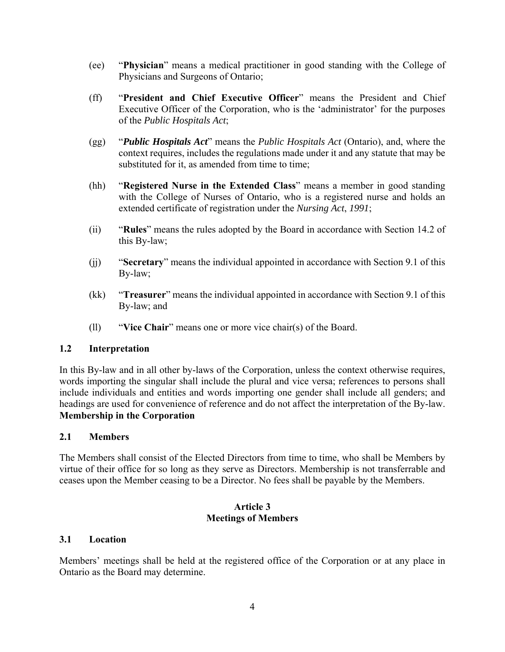- (ee) "**Physician**" means a medical practitioner in good standing with the College of Physicians and Surgeons of Ontario;
- (ff) "**President and Chief Executive Officer**" means the President and Chief Executive Officer of the Corporation, who is the 'administrator' for the purposes of the *Public Hospitals Act*;
- (gg) "*Public Hospitals Act*" means the *Public Hospitals Act* (Ontario), and, where the context requires, includes the regulations made under it and any statute that may be substituted for it, as amended from time to time;
- (hh) "**Registered Nurse in the Extended Class**" means a member in good standing with the College of Nurses of Ontario, who is a registered nurse and holds an extended certificate of registration under the *Nursing Act*, *1991*;
- (ii) "**Rules**" means the rules adopted by the Board in accordance with Section 14.2 of this By-law;
- (jj) "**Secretary**" means the individual appointed in accordance with Section 9.1 of this By-law;
- (kk) "**Treasurer**" means the individual appointed in accordance with Section 9.1 of this By-law; and
- (ll) "**Vice Chair**" means one or more vice chair(s) of the Board.

#### **1.2 Interpretation**

In this By-law and in all other by-laws of the Corporation, unless the context otherwise requires, words importing the singular shall include the plural and vice versa; references to persons shall include individuals and entities and words importing one gender shall include all genders; and headings are used for convenience of reference and do not affect the interpretation of the By-law. **Membership in the Corporation**

#### **2.1 Members**

The Members shall consist of the Elected Directors from time to time, who shall be Members by virtue of their office for so long as they serve as Directors. Membership is not transferrable and ceases upon the Member ceasing to be a Director. No fees shall be payable by the Members.

#### **Article 3 Meetings of Members**

#### **3.1 Location**

Members' meetings shall be held at the registered office of the Corporation or at any place in Ontario as the Board may determine.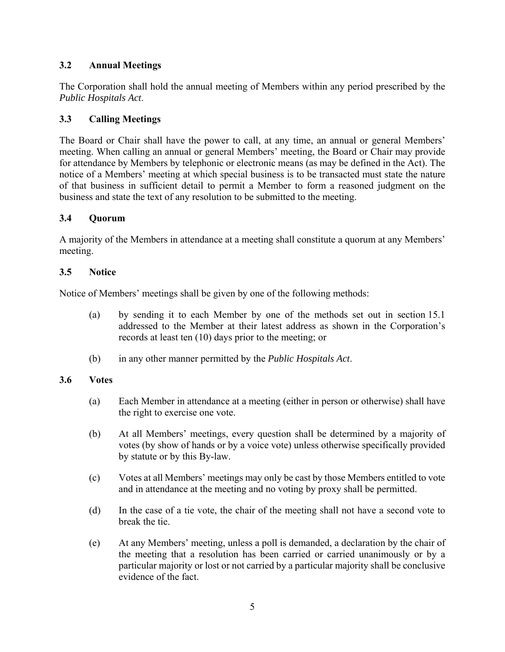# **3.2 Annual Meetings**

The Corporation shall hold the annual meeting of Members within any period prescribed by the *Public Hospitals Act*.

# **3.3 Calling Meetings**

The Board or Chair shall have the power to call, at any time, an annual or general Members' meeting. When calling an annual or general Members' meeting, the Board or Chair may provide for attendance by Members by telephonic or electronic means (as may be defined in the Act). The notice of a Members' meeting at which special business is to be transacted must state the nature of that business in sufficient detail to permit a Member to form a reasoned judgment on the business and state the text of any resolution to be submitted to the meeting.

### **3.4 Quorum**

A majority of the Members in attendance at a meeting shall constitute a quorum at any Members' meeting.

### **3.5 Notice**

Notice of Members' meetings shall be given by one of the following methods:

- (a) by sending it to each Member by one of the methods set out in section 15.1 addressed to the Member at their latest address as shown in the Corporation's records at least ten (10) days prior to the meeting; or
- (b) in any other manner permitted by the *Public Hospitals Act*.

### **3.6 Votes**

- (a) Each Member in attendance at a meeting (either in person or otherwise) shall have the right to exercise one vote.
- (b) At all Members' meetings, every question shall be determined by a majority of votes (by show of hands or by a voice vote) unless otherwise specifically provided by statute or by this By-law.
- (c) Votes at all Members' meetings may only be cast by those Members entitled to vote and in attendance at the meeting and no voting by proxy shall be permitted.
- (d) In the case of a tie vote, the chair of the meeting shall not have a second vote to break the tie.
- (e) At any Members' meeting, unless a poll is demanded, a declaration by the chair of the meeting that a resolution has been carried or carried unanimously or by a particular majority or lost or not carried by a particular majority shall be conclusive evidence of the fact.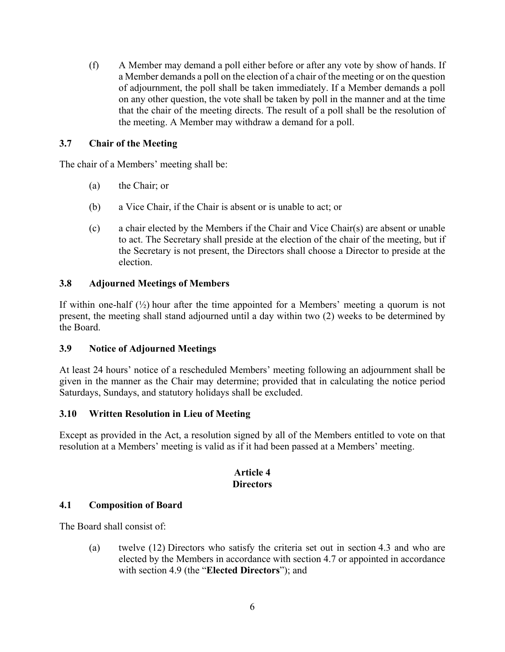(f) A Member may demand a poll either before or after any vote by show of hands. If a Member demands a poll on the election of a chair of the meeting or on the question of adjournment, the poll shall be taken immediately. If a Member demands a poll on any other question, the vote shall be taken by poll in the manner and at the time that the chair of the meeting directs. The result of a poll shall be the resolution of the meeting. A Member may withdraw a demand for a poll.

### **3.7 Chair of the Meeting**

The chair of a Members' meeting shall be:

- (a) the Chair; or
- (b) a Vice Chair, if the Chair is absent or is unable to act; or
- (c) a chair elected by the Members if the Chair and Vice Chair(s) are absent or unable to act. The Secretary shall preside at the election of the chair of the meeting, but if the Secretary is not present, the Directors shall choose a Director to preside at the election.

# **3.8 Adjourned Meetings of Members**

If within one-half  $\left(\frac{1}{2}\right)$  hour after the time appointed for a Members' meeting a quorum is not present, the meeting shall stand adjourned until a day within two (2) weeks to be determined by the Board.

### **3.9 Notice of Adjourned Meetings**

At least 24 hours' notice of a rescheduled Members' meeting following an adjournment shall be given in the manner as the Chair may determine; provided that in calculating the notice period Saturdays, Sundays, and statutory holidays shall be excluded.

### **3.10 Written Resolution in Lieu of Meeting**

Except as provided in the Act, a resolution signed by all of the Members entitled to vote on that resolution at a Members' meeting is valid as if it had been passed at a Members' meeting.

### **Article 4 Directors**

### **4.1 Composition of Board**

The Board shall consist of:

(a) twelve (12) Directors who satisfy the criteria set out in section 4.3 and who are elected by the Members in accordance with section 4.7 or appointed in accordance with section 4.9 (the "**Elected Directors**"); and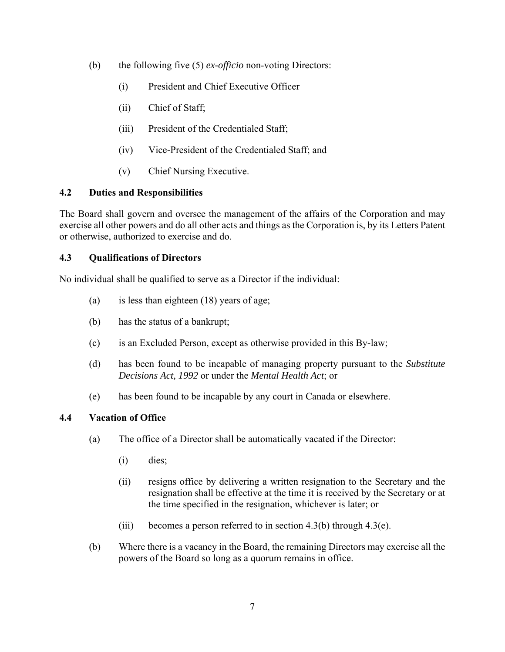- (b) the following five (5) *ex-officio* non-voting Directors:
	- (i) President and Chief Executive Officer
	- (ii) Chief of Staff;
	- (iii) President of the Credentialed Staff;
	- (iv) Vice-President of the Credentialed Staff; and
	- (v) Chief Nursing Executive.

### **4.2 Duties and Responsibilities**

The Board shall govern and oversee the management of the affairs of the Corporation and may exercise all other powers and do all other acts and things as the Corporation is, by its Letters Patent or otherwise, authorized to exercise and do.

### **4.3 Qualifications of Directors**

No individual shall be qualified to serve as a Director if the individual:

- (a) is less than eighteen (18) years of age;
- (b) has the status of a bankrupt;
- (c) is an Excluded Person, except as otherwise provided in this By-law;
- (d) has been found to be incapable of managing property pursuant to the *Substitute Decisions Act, 1992* or under the *Mental Health Act*; or
- (e) has been found to be incapable by any court in Canada or elsewhere.

### **4.4 Vacation of Office**

- (a) The office of a Director shall be automatically vacated if the Director:
	- (i) dies;
	- (ii) resigns office by delivering a written resignation to the Secretary and the resignation shall be effective at the time it is received by the Secretary or at the time specified in the resignation, whichever is later; or
	- (iii) becomes a person referred to in section  $4.3(b)$  through  $4.3(e)$ .
- (b) Where there is a vacancy in the Board, the remaining Directors may exercise all the powers of the Board so long as a quorum remains in office.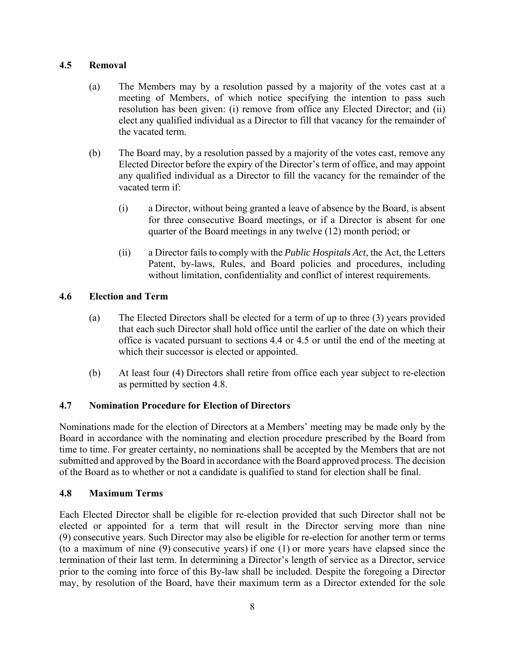### **4.5 Removal**

- (a) The Members may by a resolution passed by a majority of the votes cast at a meeting of Members, of which notice specifying the intention to pass such resolution has been given: (i) remove from office any Elected Director; and (ii) elect any qualified individual as a Director to fill that vacancy for the remainder of the vacated term.
- (b) The Board may, by a resolution passed by a majority of the votes cast, remove any Elected Director before the expiry of the Director's term of office, and may appoint any qualified individual as a Director to fill the vacancy for the remainder of the vacated term if:
	- (i) a Director, without being granted a leave of absence by the Board, is absent for three consecutive Board meetings, or if a Director is absent for one quarter of the Board meetings in any twelve (12) month period; or
	- (ii) a Director fails to comply with the *Public Hospitals Act*, the Act, the Letters Patent, by-laws, Rules, and Board policies and procedures, including without limitation, confidentiality and conflict of interest requirements.

### **4.6 Election and Term**

- (a) The Elected Directors shall be elected for a term of up to three (3) years provided that each such Director shall hold office until the earlier of the date on which their office is vacated pursuant to sections 4.4 or 4.5 or until the end of the meeting at which their successor is elected or appointed.
- (b) At least four (4) Directors shall retire from office each year subject to re-election as permitted by section 4.8.

#### **4.7 Nomination Procedure for Election of Directors**

Nominations made for the election of Directors at a Members' meeting may be made only by the Board in accordance with the nominating and election procedure prescribed by the Board from time to time. For greater certainty, no nominations shall be accepted by the Members that are not submitted and approved by the Board in accordance with the Board approved process. The decision of the Board as to whether or not a candidate is qualified to stand for election shall be final.

#### **4.8 Maximum Terms**

Each Elected Director shall be eligible for re-election provided that such Director shall not be elected or appointed for a term that will result in the Director serving more than nine (9) consecutive years. Such Director may also be eligible for re-election for another term or terms (to a maximum of nine (9) consecutive years) if one (1) or more years have elapsed since the termination of their last term. In determining a Director's length of service as a Director, service prior to the coming into force of this By-law shall be included. Despite the foregoing a Director may, by resolution of the Board, have their maximum term as a Director extended for the sole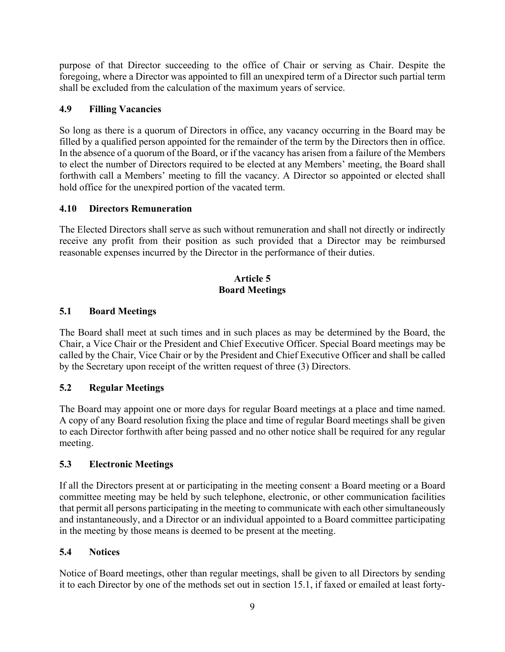purpose of that Director succeeding to the office of Chair or serving as Chair. Despite the foregoing, where a Director was appointed to fill an unexpired term of a Director such partial term shall be excluded from the calculation of the maximum years of service.

## **4.9 Filling Vacancies**

So long as there is a quorum of Directors in office, any vacancy occurring in the Board may be filled by a qualified person appointed for the remainder of the term by the Directors then in office. In the absence of a quorum of the Board, or if the vacancy has arisen from a failure of the Members to elect the number of Directors required to be elected at any Members' meeting, the Board shall forthwith call a Members' meeting to fill the vacancy. A Director so appointed or elected shall hold office for the unexpired portion of the vacated term.

# **4.10 Directors Remuneration**

The Elected Directors shall serve as such without remuneration and shall not directly or indirectly receive any profit from their position as such provided that a Director may be reimbursed reasonable expenses incurred by the Director in the performance of their duties.

### **Article 5 Board Meetings**

# **5.1 Board Meetings**

The Board shall meet at such times and in such places as may be determined by the Board, the Chair, a Vice Chair or the President and Chief Executive Officer. Special Board meetings may be called by the Chair, Vice Chair or by the President and Chief Executive Officer and shall be called by the Secretary upon receipt of the written request of three (3) Directors.

# **5.2 Regular Meetings**

The Board may appoint one or more days for regular Board meetings at a place and time named. A copy of any Board resolution fixing the place and time of regular Board meetings shall be given to each Director forthwith after being passed and no other notice shall be required for any regular meeting.

### **5.3 Electronic Meetings**

If all the Directors present at or participating in the meeting consent a Board meeting or a Board committee meeting may be held by such telephone, electronic, or other communication facilities that permit all persons participating in the meeting to communicate with each other simultaneously and instantaneously, and a Director or an individual appointed to a Board committee participating in the meeting by those means is deemed to be present at the meeting.

### **5.4 Notices**

Notice of Board meetings, other than regular meetings, shall be given to all Directors by sending it to each Director by one of the methods set out in section 15.1, if faxed or emailed at least forty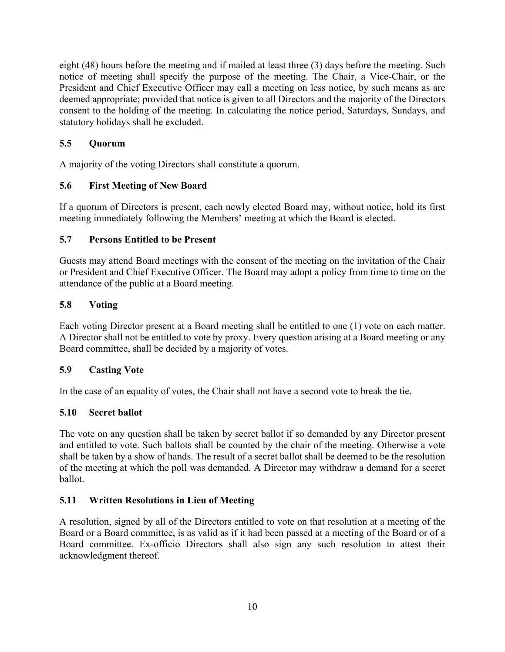eight (48) hours before the meeting and if mailed at least three (3) days before the meeting. Such notice of meeting shall specify the purpose of the meeting. The Chair, a Vice-Chair, or the President and Chief Executive Officer may call a meeting on less notice, by such means as are deemed appropriate; provided that notice is given to all Directors and the majority of the Directors consent to the holding of the meeting. In calculating the notice period, Saturdays, Sundays, and statutory holidays shall be excluded.

# **5.5 Quorum**

A majority of the voting Directors shall constitute a quorum.

# **5.6 First Meeting of New Board**

If a quorum of Directors is present, each newly elected Board may, without notice, hold its first meeting immediately following the Members' meeting at which the Board is elected.

### **5.7 Persons Entitled to be Present**

Guests may attend Board meetings with the consent of the meeting on the invitation of the Chair or President and Chief Executive Officer. The Board may adopt a policy from time to time on the attendance of the public at a Board meeting.

### **5.8 Voting**

Each voting Director present at a Board meeting shall be entitled to one (1) vote on each matter. A Director shall not be entitled to vote by proxy. Every question arising at a Board meeting or any Board committee, shall be decided by a majority of votes.

### **5.9 Casting Vote**

In the case of an equality of votes, the Chair shall not have a second vote to break the tie.

### **5.10 Secret ballot**

The vote on any question shall be taken by secret ballot if so demanded by any Director present and entitled to vote. Such ballots shall be counted by the chair of the meeting. Otherwise a vote shall be taken by a show of hands. The result of a secret ballot shall be deemed to be the resolution of the meeting at which the poll was demanded. A Director may withdraw a demand for a secret ballot.

### **5.11 Written Resolutions in Lieu of Meeting**

A resolution, signed by all of the Directors entitled to vote on that resolution at a meeting of the Board or a Board committee, is as valid as if it had been passed at a meeting of the Board or of a Board committee. Ex-officio Directors shall also sign any such resolution to attest their acknowledgment thereof.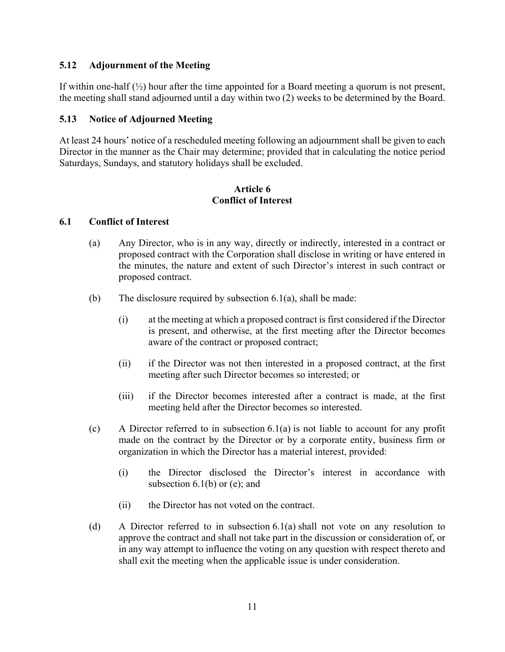### **5.12 Adjournment of the Meeting**

If within one-half  $\left(\frac{1}{2}\right)$  hour after the time appointed for a Board meeting a quorum is not present, the meeting shall stand adjourned until a day within two (2) weeks to be determined by the Board.

#### **5.13 Notice of Adjourned Meeting**

At least 24 hours' notice of a rescheduled meeting following an adjournment shall be given to each Director in the manner as the Chair may determine; provided that in calculating the notice period Saturdays, Sundays, and statutory holidays shall be excluded.

#### **Article 6 Conflict of Interest**

#### **6.1 Conflict of Interest**

- (a) Any Director, who is in any way, directly or indirectly, interested in a contract or proposed contract with the Corporation shall disclose in writing or have entered in the minutes, the nature and extent of such Director's interest in such contract or proposed contract.
- (b) The disclosure required by subsection  $6.1(a)$ , shall be made:
	- (i) at the meeting at which a proposed contract is first considered if the Director is present, and otherwise, at the first meeting after the Director becomes aware of the contract or proposed contract;
	- (ii) if the Director was not then interested in a proposed contract, at the first meeting after such Director becomes so interested; or
	- (iii) if the Director becomes interested after a contract is made, at the first meeting held after the Director becomes so interested.
- (c) A Director referred to in subsection  $6.1(a)$  is not liable to account for any profit made on the contract by the Director or by a corporate entity, business firm or organization in which the Director has a material interest, provided:
	- (i) the Director disclosed the Director's interest in accordance with subsection  $6.1(b)$  or (e); and
	- (ii) the Director has not voted on the contract.
- (d) A Director referred to in subsection 6.1(a) shall not vote on any resolution to approve the contract and shall not take part in the discussion or consideration of, or in any way attempt to influence the voting on any question with respect thereto and shall exit the meeting when the applicable issue is under consideration.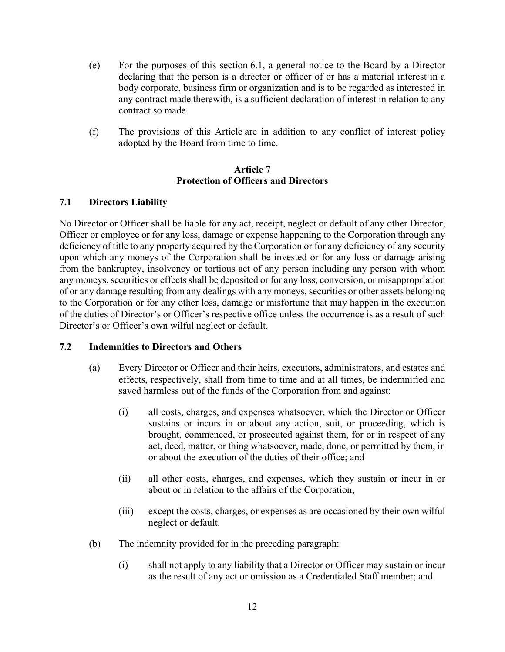- (e) For the purposes of this section 6.1, a general notice to the Board by a Director declaring that the person is a director or officer of or has a material interest in a body corporate, business firm or organization and is to be regarded as interested in any contract made therewith, is a sufficient declaration of interest in relation to any contract so made.
- (f) The provisions of this Article are in addition to any conflict of interest policy adopted by the Board from time to time.

#### **Article 7 Protection of Officers and Directors**

### **7.1 Directors Liability**

No Director or Officer shall be liable for any act, receipt, neglect or default of any other Director, Officer or employee or for any loss, damage or expense happening to the Corporation through any deficiency of title to any property acquired by the Corporation or for any deficiency of any security upon which any moneys of the Corporation shall be invested or for any loss or damage arising from the bankruptcy, insolvency or tortious act of any person including any person with whom any moneys, securities or effects shall be deposited or for any loss, conversion, or misappropriation of or any damage resulting from any dealings with any moneys, securities or other assets belonging to the Corporation or for any other loss, damage or misfortune that may happen in the execution of the duties of Director's or Officer's respective office unless the occurrence is as a result of such Director's or Officer's own wilful neglect or default.

#### **7.2 Indemnities to Directors and Others**

- (a) Every Director or Officer and their heirs, executors, administrators, and estates and effects, respectively, shall from time to time and at all times, be indemnified and saved harmless out of the funds of the Corporation from and against:
	- (i) all costs, charges, and expenses whatsoever, which the Director or Officer sustains or incurs in or about any action, suit, or proceeding, which is brought, commenced, or prosecuted against them, for or in respect of any act, deed, matter, or thing whatsoever, made, done, or permitted by them, in or about the execution of the duties of their office; and
	- (ii) all other costs, charges, and expenses, which they sustain or incur in or about or in relation to the affairs of the Corporation,
	- (iii) except the costs, charges, or expenses as are occasioned by their own wilful neglect or default.
- (b) The indemnity provided for in the preceding paragraph:
	- (i) shall not apply to any liability that a Director or Officer may sustain or incur as the result of any act or omission as a Credentialed Staff member; and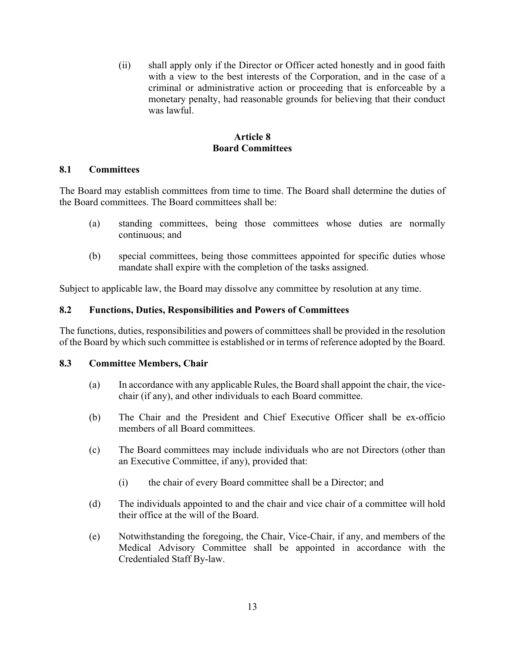(ii) shall apply only if the Director or Officer acted honestly and in good faith with a view to the best interests of the Corporation, and in the case of a criminal or administrative action or proceeding that is enforceable by a monetary penalty, had reasonable grounds for believing that their conduct was lawful.

#### **Article 8 Board Committees**

### **8.1 Committees**

The Board may establish committees from time to time. The Board shall determine the duties of the Board committees. The Board committees shall be:

- (a) standing committees, being those committees whose duties are normally continuous; and
- (b) special committees, being those committees appointed for specific duties whose mandate shall expire with the completion of the tasks assigned.

Subject to applicable law, the Board may dissolve any committee by resolution at any time.

### **8.2 Functions, Duties, Responsibilities and Powers of Committees**

The functions, duties, responsibilities and powers of committees shall be provided in the resolution of the Board by which such committee is established or in terms of reference adopted by the Board.

#### **8.3 Committee Members, Chair**

- (a) In accordance with any applicable Rules, the Board shall appoint the chair, the vicechair (if any), and other individuals to each Board committee.
- (b) The Chair and the President and Chief Executive Officer shall be ex-officio members of all Board committees.
- (c) The Board committees may include individuals who are not Directors (other than an Executive Committee, if any), provided that:
	- (i) the chair of every Board committee shall be a Director; and
- (d) The individuals appointed to and the chair and vice chair of a committee will hold their office at the will of the Board.
- (e) Notwithstanding the foregoing, the Chair, Vice-Chair, if any, and members of the Medical Advisory Committee shall be appointed in accordance with the Credentialed Staff By-law.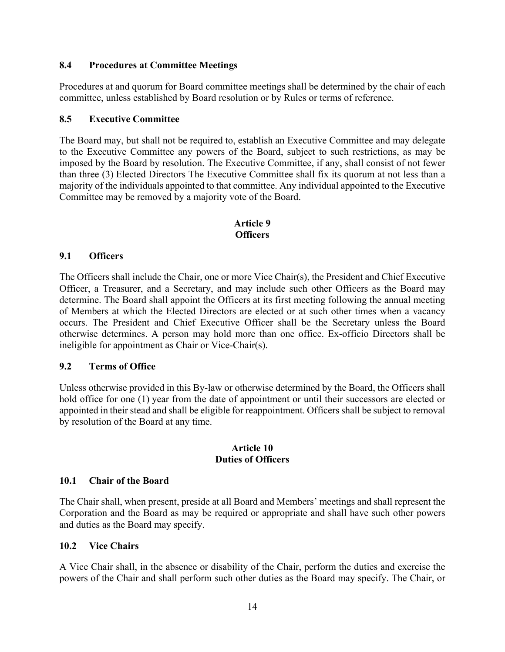#### **8.4 Procedures at Committee Meetings**

Procedures at and quorum for Board committee meetings shall be determined by the chair of each committee, unless established by Board resolution or by Rules or terms of reference.

#### **8.5 Executive Committee**

The Board may, but shall not be required to, establish an Executive Committee and may delegate to the Executive Committee any powers of the Board, subject to such restrictions, as may be imposed by the Board by resolution. The Executive Committee, if any, shall consist of not fewer than three (3) Elected Directors The Executive Committee shall fix its quorum at not less than a majority of the individuals appointed to that committee. Any individual appointed to the Executive Committee may be removed by a majority vote of the Board.

### **Article 9 Officers**

#### **9.1 Officers**

The Officers shall include the Chair, one or more Vice Chair(s), the President and Chief Executive Officer, a Treasurer, and a Secretary, and may include such other Officers as the Board may determine. The Board shall appoint the Officers at its first meeting following the annual meeting of Members at which the Elected Directors are elected or at such other times when a vacancy occurs. The President and Chief Executive Officer shall be the Secretary unless the Board otherwise determines. A person may hold more than one office. Ex-officio Directors shall be ineligible for appointment as Chair or Vice-Chair(s).

#### **9.2 Terms of Office**

Unless otherwise provided in this By-law or otherwise determined by the Board, the Officers shall hold office for one (1) year from the date of appointment or until their successors are elected or appointed in their stead and shall be eligible for reappointment. Officers shall be subject to removal by resolution of the Board at any time.

#### **Article 10 Duties of Officers**

#### **10.1 Chair of the Board**

The Chair shall, when present, preside at all Board and Members' meetings and shall represent the Corporation and the Board as may be required or appropriate and shall have such other powers and duties as the Board may specify.

#### **10.2 Vice Chairs**

A Vice Chair shall, in the absence or disability of the Chair, perform the duties and exercise the powers of the Chair and shall perform such other duties as the Board may specify. The Chair, or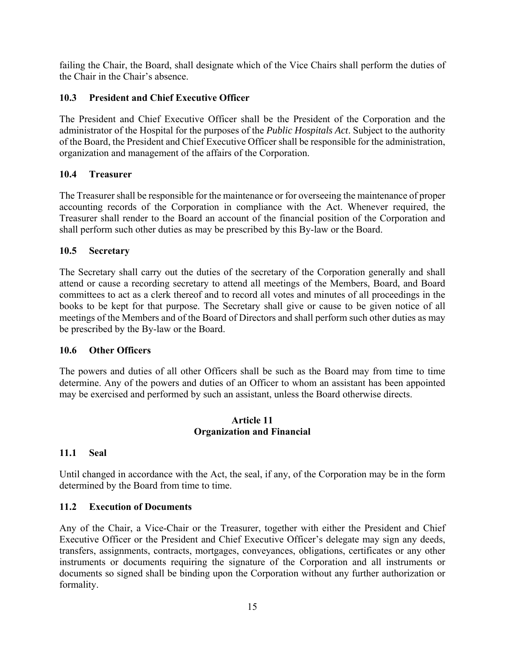failing the Chair, the Board, shall designate which of the Vice Chairs shall perform the duties of the Chair in the Chair's absence.

### **10.3 President and Chief Executive Officer**

The President and Chief Executive Officer shall be the President of the Corporation and the administrator of the Hospital for the purposes of the *Public Hospitals Act*. Subject to the authority of the Board, the President and Chief Executive Officer shall be responsible for the administration, organization and management of the affairs of the Corporation.

### **10.4 Treasurer**

The Treasurer shall be responsible for the maintenance or for overseeing the maintenance of proper accounting records of the Corporation in compliance with the Act. Whenever required, the Treasurer shall render to the Board an account of the financial position of the Corporation and shall perform such other duties as may be prescribed by this By-law or the Board.

# **10.5 Secretary**

The Secretary shall carry out the duties of the secretary of the Corporation generally and shall attend or cause a recording secretary to attend all meetings of the Members, Board, and Board committees to act as a clerk thereof and to record all votes and minutes of all proceedings in the books to be kept for that purpose. The Secretary shall give or cause to be given notice of all meetings of the Members and of the Board of Directors and shall perform such other duties as may be prescribed by the By-law or the Board.

### **10.6 Other Officers**

The powers and duties of all other Officers shall be such as the Board may from time to time determine. Any of the powers and duties of an Officer to whom an assistant has been appointed may be exercised and performed by such an assistant, unless the Board otherwise directs.

#### **Article 11 Organization and Financial**

# **11.1 Seal**

Until changed in accordance with the Act, the seal, if any, of the Corporation may be in the form determined by the Board from time to time.

# **11.2 Execution of Documents**

Any of the Chair, a Vice-Chair or the Treasurer, together with either the President and Chief Executive Officer or the President and Chief Executive Officer's delegate may sign any deeds, transfers, assignments, contracts, mortgages, conveyances, obligations, certificates or any other instruments or documents requiring the signature of the Corporation and all instruments or documents so signed shall be binding upon the Corporation without any further authorization or formality.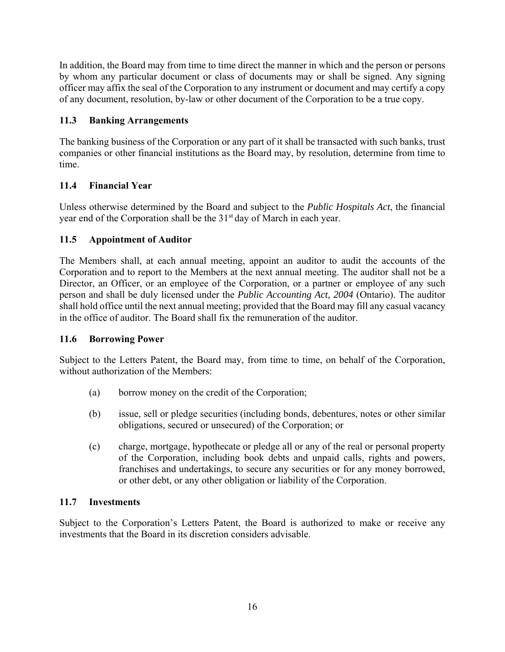In addition, the Board may from time to time direct the manner in which and the person or persons by whom any particular document or class of documents may or shall be signed. Any signing officer may affix the seal of the Corporation to any instrument or document and may certify a copy of any document, resolution, by-law or other document of the Corporation to be a true copy.

# **11.3 Banking Arrangements**

The banking business of the Corporation or any part of it shall be transacted with such banks, trust companies or other financial institutions as the Board may, by resolution, determine from time to time.

# **11.4 Financial Year**

Unless otherwise determined by the Board and subject to the *Public Hospitals Act*, the financial year end of the Corporation shall be the 31<sup>st</sup> day of March in each year.

# **11.5 Appointment of Auditor**

The Members shall, at each annual meeting, appoint an auditor to audit the accounts of the Corporation and to report to the Members at the next annual meeting. The auditor shall not be a Director, an Officer, or an employee of the Corporation, or a partner or employee of any such person and shall be duly licensed under the *Public Accounting Act, 2004* (Ontario). The auditor shall hold office until the next annual meeting; provided that the Board may fill any casual vacancy in the office of auditor. The Board shall fix the remuneration of the auditor.

### **11.6 Borrowing Power**

Subject to the Letters Patent, the Board may, from time to time, on behalf of the Corporation, without authorization of the Members:

- (a) borrow money on the credit of the Corporation;
- (b) issue, sell or pledge securities (including bonds, debentures, notes or other similar obligations, secured or unsecured) of the Corporation; or
- (c) charge, mortgage, hypothecate or pledge all or any of the real or personal property of the Corporation, including book debts and unpaid calls, rights and powers, franchises and undertakings, to secure any securities or for any money borrowed, or other debt, or any other obligation or liability of the Corporation.

### **11.7 Investments**

Subject to the Corporation's Letters Patent, the Board is authorized to make or receive any investments that the Board in its discretion considers advisable.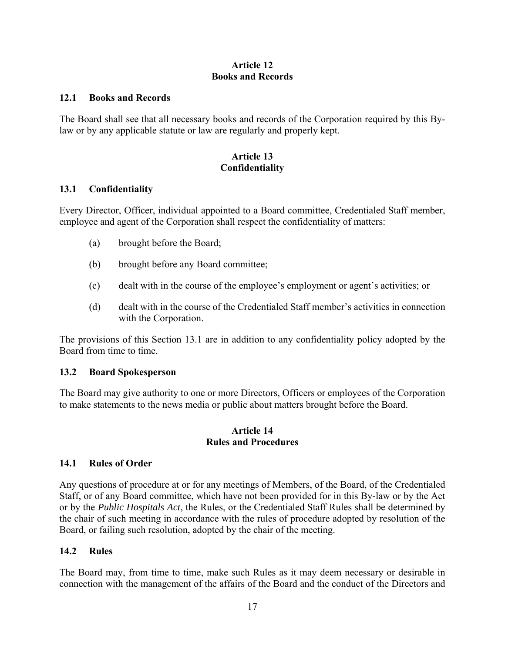### **Article 12 Books and Records**

#### **12.1 Books and Records**

The Board shall see that all necessary books and records of the Corporation required by this Bylaw or by any applicable statute or law are regularly and properly kept.

#### **Article 13 Confidentiality**

#### **13.1 Confidentiality**

Every Director, Officer, individual appointed to a Board committee, Credentialed Staff member, employee and agent of the Corporation shall respect the confidentiality of matters:

- (a) brought before the Board;
- (b) brought before any Board committee;
- (c) dealt with in the course of the employee's employment or agent's activities; or
- (d) dealt with in the course of the Credentialed Staff member's activities in connection with the Corporation.

The provisions of this Section 13.1 are in addition to any confidentiality policy adopted by the Board from time to time.

#### **13.2 Board Spokesperson**

The Board may give authority to one or more Directors, Officers or employees of the Corporation to make statements to the news media or public about matters brought before the Board.

#### **Article 14 Rules and Procedures**

#### **14.1 Rules of Order**

Any questions of procedure at or for any meetings of Members, of the Board, of the Credentialed Staff, or of any Board committee, which have not been provided for in this By-law or by the Act or by the *Public Hospitals Act*, the Rules, or the Credentialed Staff Rules shall be determined by the chair of such meeting in accordance with the rules of procedure adopted by resolution of the Board, or failing such resolution, adopted by the chair of the meeting.

#### **14.2 Rules**

The Board may, from time to time, make such Rules as it may deem necessary or desirable in connection with the management of the affairs of the Board and the conduct of the Directors and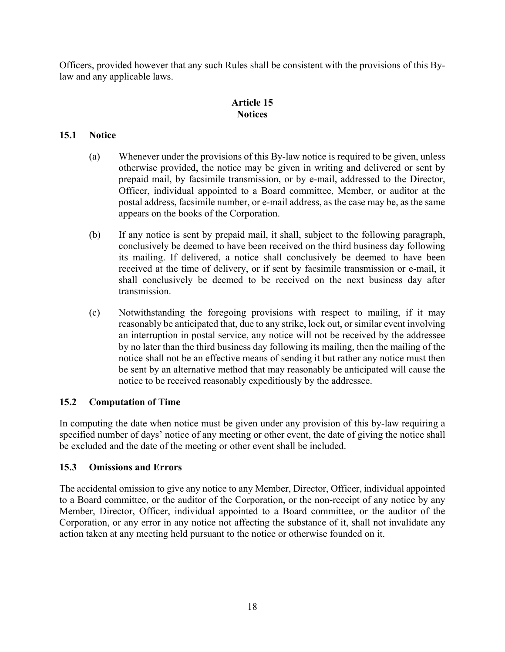Officers, provided however that any such Rules shall be consistent with the provisions of this Bylaw and any applicable laws.

### **Article 15 Notices**

## **15.1 Notice**

- (a) Whenever under the provisions of this By-law notice is required to be given, unless otherwise provided, the notice may be given in writing and delivered or sent by prepaid mail, by facsimile transmission, or by e-mail, addressed to the Director, Officer, individual appointed to a Board committee, Member, or auditor at the postal address, facsimile number, or e-mail address, as the case may be, as the same appears on the books of the Corporation.
- (b) If any notice is sent by prepaid mail, it shall, subject to the following paragraph, conclusively be deemed to have been received on the third business day following its mailing. If delivered, a notice shall conclusively be deemed to have been received at the time of delivery, or if sent by facsimile transmission or e-mail, it shall conclusively be deemed to be received on the next business day after transmission.
- (c) Notwithstanding the foregoing provisions with respect to mailing, if it may reasonably be anticipated that, due to any strike, lock out, or similar event involving an interruption in postal service, any notice will not be received by the addressee by no later than the third business day following its mailing, then the mailing of the notice shall not be an effective means of sending it but rather any notice must then be sent by an alternative method that may reasonably be anticipated will cause the notice to be received reasonably expeditiously by the addressee.

### **15.2 Computation of Time**

In computing the date when notice must be given under any provision of this by-law requiring a specified number of days' notice of any meeting or other event, the date of giving the notice shall be excluded and the date of the meeting or other event shall be included.

### **15.3 Omissions and Errors**

The accidental omission to give any notice to any Member, Director, Officer, individual appointed to a Board committee, or the auditor of the Corporation, or the non-receipt of any notice by any Member, Director, Officer, individual appointed to a Board committee, or the auditor of the Corporation, or any error in any notice not affecting the substance of it, shall not invalidate any action taken at any meeting held pursuant to the notice or otherwise founded on it.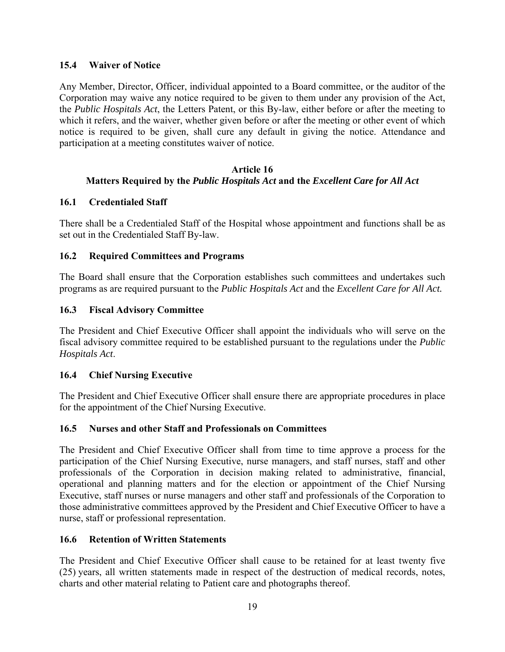### **15.4 Waiver of Notice**

Any Member, Director, Officer, individual appointed to a Board committee, or the auditor of the Corporation may waive any notice required to be given to them under any provision of the Act, the *Public Hospitals Act*, the Letters Patent, or this By-law, either before or after the meeting to which it refers, and the waiver, whether given before or after the meeting or other event of which notice is required to be given, shall cure any default in giving the notice. Attendance and participation at a meeting constitutes waiver of notice.

#### **Article 16 Matters Required by the** *Public Hospitals Act* **and the** *Excellent Care for All Act*

### **16.1 Credentialed Staff**

There shall be a Credentialed Staff of the Hospital whose appointment and functions shall be as set out in the Credentialed Staff By-law.

### **16.2 Required Committees and Programs**

The Board shall ensure that the Corporation establishes such committees and undertakes such programs as are required pursuant to the *Public Hospitals Act* and the *Excellent Care for All Act.*

### **16.3 Fiscal Advisory Committee**

The President and Chief Executive Officer shall appoint the individuals who will serve on the fiscal advisory committee required to be established pursuant to the regulations under the *Public Hospitals Act*.

#### **16.4 Chief Nursing Executive**

The President and Chief Executive Officer shall ensure there are appropriate procedures in place for the appointment of the Chief Nursing Executive.

#### **16.5 Nurses and other Staff and Professionals on Committees**

The President and Chief Executive Officer shall from time to time approve a process for the participation of the Chief Nursing Executive, nurse managers, and staff nurses, staff and other professionals of the Corporation in decision making related to administrative, financial, operational and planning matters and for the election or appointment of the Chief Nursing Executive, staff nurses or nurse managers and other staff and professionals of the Corporation to those administrative committees approved by the President and Chief Executive Officer to have a nurse, staff or professional representation.

#### **16.6 Retention of Written Statements**

The President and Chief Executive Officer shall cause to be retained for at least twenty five (25) years, all written statements made in respect of the destruction of medical records, notes, charts and other material relating to Patient care and photographs thereof.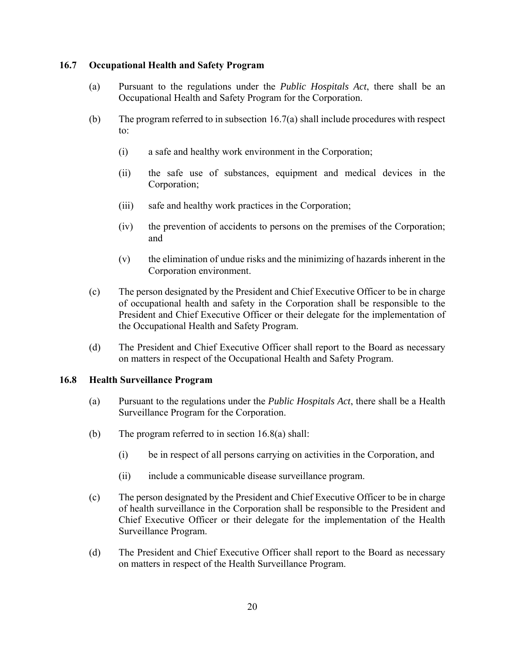### **16.7 Occupational Health and Safety Program**

- (a) Pursuant to the regulations under the *Public Hospitals Act*, there shall be an Occupational Health and Safety Program for the Corporation.
- (b) The program referred to in subsection  $16.7(a)$  shall include procedures with respect to:
	- (i) a safe and healthy work environment in the Corporation;
	- (ii) the safe use of substances, equipment and medical devices in the Corporation;
	- (iii) safe and healthy work practices in the Corporation;
	- (iv) the prevention of accidents to persons on the premises of the Corporation; and
	- (v) the elimination of undue risks and the minimizing of hazards inherent in the Corporation environment.
- (c) The person designated by the President and Chief Executive Officer to be in charge of occupational health and safety in the Corporation shall be responsible to the President and Chief Executive Officer or their delegate for the implementation of the Occupational Health and Safety Program.
- (d) The President and Chief Executive Officer shall report to the Board as necessary on matters in respect of the Occupational Health and Safety Program.

#### **16.8 Health Surveillance Program**

- (a) Pursuant to the regulations under the *Public Hospitals Act*, there shall be a Health Surveillance Program for the Corporation.
- (b) The program referred to in section 16.8(a) shall:
	- (i) be in respect of all persons carrying on activities in the Corporation, and
	- (ii) include a communicable disease surveillance program.
- (c) The person designated by the President and Chief Executive Officer to be in charge of health surveillance in the Corporation shall be responsible to the President and Chief Executive Officer or their delegate for the implementation of the Health Surveillance Program.
- (d) The President and Chief Executive Officer shall report to the Board as necessary on matters in respect of the Health Surveillance Program.